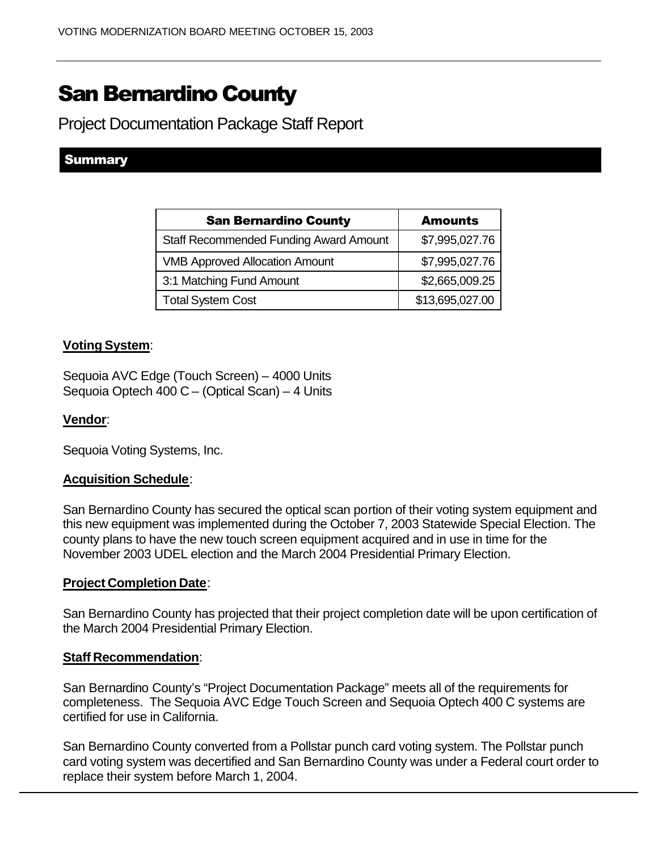# San Bernardino County

Project Documentation Package Staff Report

## **Summary**

| <b>San Bernardino County</b>                  | <b>Amounts</b>  |
|-----------------------------------------------|-----------------|
| <b>Staff Recommended Funding Award Amount</b> | \$7,995,027.76  |
| <b>VMB Approved Allocation Amount</b>         | \$7,995,027.76  |
| 3:1 Matching Fund Amount                      | \$2,665,009.25  |
| <b>Total System Cost</b>                      | \$13,695,027.00 |

### **Voting System**:

Sequoia AVC Edge (Touch Screen) – 4000 Units Sequoia Optech 400 C – (Optical Scan) – 4 Units

#### **Vendor**:

Sequoia Voting Systems, Inc.

#### **Acquisition Schedule**:

San Bernardino County has secured the optical scan portion of their voting system equipment and this new equipment was implemented during the October 7, 2003 Statewide Special Election. The county plans to have the new touch screen equipment acquired and in use in time for the November 2003 UDEL election and the March 2004 Presidential Primary Election.

#### **Project Completion Date**:

San Bernardino County has projected that their project completion date will be upon certification of the March 2004 Presidential Primary Election.

#### **Staff Recommendation**:

San Bernardino County's "Project Documentation Package" meets all of the requirements for completeness. The Sequoia AVC Edge Touch Screen and Sequoia Optech 400 C systems are certified for use in California.

San Bernardino County converted from a Pollstar punch card voting system. The Pollstar punch card voting system was decertified and San Bernardino County was under a Federal court order to replace their system before March 1, 2004.